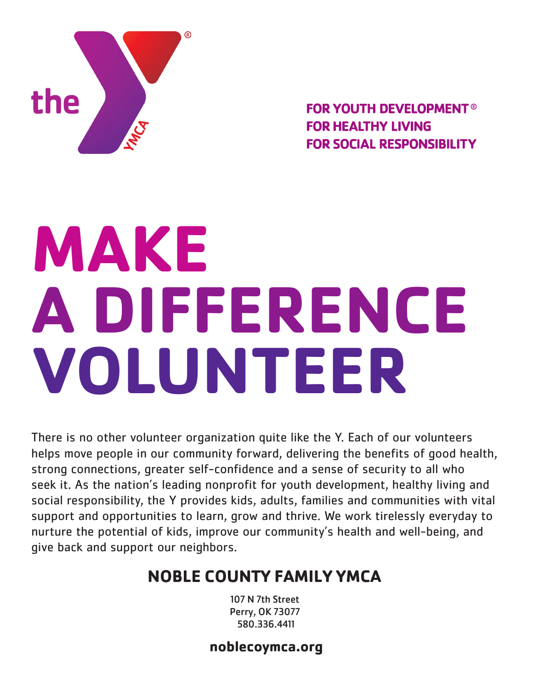

**FOR YOUTH DEVELOPMENT® FOR HEALTHY LIVING FOR SOCIAL RESPONSIBILITY** 

# **MAKE A DIFFERENCE VOLUNTEER**

There is no other volunteer organization quite like the Y. Each of our volunteers helps move people in our community forward, delivering the benefits of good health, strong connections, greater self-confidence and a sense of security to all who seek it. As the nation's leading nonprofit for youth development, healthy living and social responsibility, the Y provides kids, adults, families and communities with vital support and opportunities to learn, grow and thrive. We work tirelessly everyday to nurture the potential of kids, improve our community's health and well-being, and give back and support our neighbors.

## **NOBLE COUNTY FAMILY YMCA**

107 N 7th Street Perry, OK 73077 580.336.4411

### **noblecoymca.org**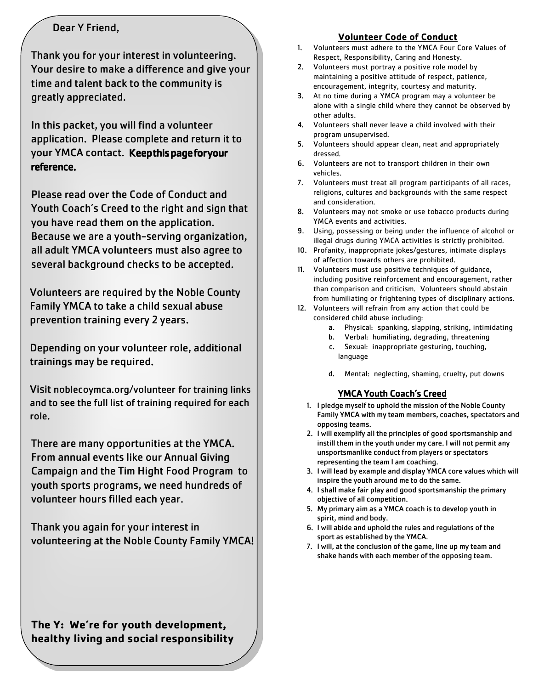#### Dear Y Friend,

Thank you for your interest in volunteering. Your desire to make a difference and give your time and talent back to the community is greatly appreciated.

In this packet, you will find a volunteer application. Please complete and return it to your YMCA contact. Keepthis page for your reference.

Please read over the Code of Conduct and Youth Coach's Creed to the right and sign that you have read them on the application. Because we are a youth-serving organization, all adult YMCA volunteers must also agree to several background checks to be accepted.

Volunteers are required by the Noble County Family YMCA to take a child sexual abuse prevention training every 2 years.

Depending on your volunteer role, additional trainings may be required.

Visit noblecoy[mca.org/volunteer](http://www.ymcaocc.org/) for training links and to see the full list of training required for each role.

There are many [opportunities](http://www.reportabusepa.pitt.edu/) at the YMCA. From annual events like our Annual Giving Ca[mpaign and the Tim](http://keepkidssafe.pa.gov/index.htm) Hight Food Program to youth sports programs, we need hundreds of volunteer hours filled each year.

Thank you again for your interest in volunteering at the Noble County Family YMCA!

#### **The Y: We're for youth development, healthy living and social responsibility**

#### **Volunteer Code of Conduct**

- 1. Volunteers must adhere to the YMCA Four Core Values of Respect, Responsibility, Caring and Honesty.
- 2. Volunteers must portray a positive role model by maintaining a positive attitude of respect, patience, encouragement, integrity, courtesy and maturity.
- 3. At no time during a YMCA program may a volunteer be alone with a single child where they cannot be observed by other adults.
- 4. Volunteers shall never leave a child involved with their program unsupervised.
- 5. Volunteers should appear clean, neat and appropriately dressed.
- 6. Volunteers are not to transport children in their own vehicles.
- 7. Volunteers must treat all program participants of all races, religions, cultures and backgrounds with the same respect and consideration.
- 8. Volunteers may not smoke or use tobacco products during YMCA events and activities.
- 9. Using, possessing or being under the influence of alcohol or illegal drugs during YMCA activities is strictly prohibited.
- 10. Profanity, inappropriate jokes/gestures, intimate displays of affection towards others are prohibited.
- 11. Volunteers must use positive techniques of guidance, including positive reinforcement and encouragement, rather than comparison and criticism. Volunteers should abstain from humiliating or frightening types of disciplinary actions.
- 12. Volunteers will refrain from any action that could be considered child abuse including:
	- a. Physical: spanking, slapping, striking, intimidating
	- b. Verbal: humiliating, degrading, threatening
	- c. Sexual: inappropriate gesturing, touching, language
	- d. Mental: neglecting, shaming, cruelty, put downs

#### YMCA Youth Coach's Creed

- 1. I pledge myself to uphold the mission of the Noble County Family YMCA with my team members, coaches, spectators and opposing teams.
- 2. I will exemplify all the principles of good sportsmanship and instill them in the youth under my care. I will not permit any unsportsmanlike conduct from players or spectators representing the team I am coaching.
- 3. I will lead by example and display YMCA core values which will inspire the youth around me to do the same.
- 4. I shall make fair play and good sportsmanship the primary objective of all competition.
- 5. My primary aim as a YMCA coach is to develop youth in spirit, mind and body.
- 6. I will abide and uphold the rules and regulations of the sport as established by the YMCA.
- 7. I will, at the conclusion of the game, line up my team and shake hands with each member of the opposing team.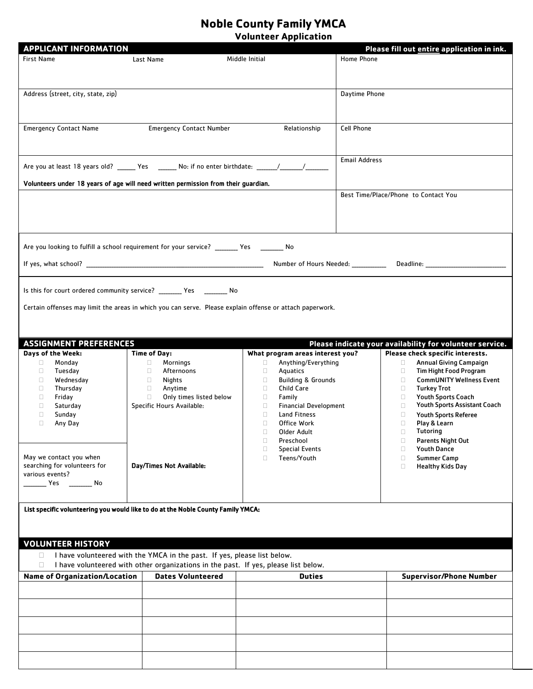#### **Noble County Family YMCA Volunteer Application**

| <b>APPLICANT INFORMATION</b>                                                       |                                                                                                                |                                         | Please fill out entire application in ink.                                       |
|------------------------------------------------------------------------------------|----------------------------------------------------------------------------------------------------------------|-----------------------------------------|----------------------------------------------------------------------------------|
| <b>First Name</b>                                                                  | Last Name                                                                                                      | Middle Initial                          | Home Phone                                                                       |
|                                                                                    |                                                                                                                |                                         |                                                                                  |
|                                                                                    |                                                                                                                |                                         |                                                                                  |
|                                                                                    |                                                                                                                |                                         |                                                                                  |
| Address (street, city, state, zip)                                                 |                                                                                                                |                                         | Daytime Phone                                                                    |
|                                                                                    |                                                                                                                |                                         |                                                                                  |
|                                                                                    |                                                                                                                |                                         |                                                                                  |
|                                                                                    |                                                                                                                |                                         |                                                                                  |
| <b>Emergency Contact Name</b>                                                      | <b>Emergency Contact Number</b>                                                                                | Relationship                            | Cell Phone                                                                       |
|                                                                                    |                                                                                                                |                                         |                                                                                  |
|                                                                                    |                                                                                                                |                                         |                                                                                  |
|                                                                                    |                                                                                                                |                                         | <b>Email Address</b>                                                             |
|                                                                                    | Are you at least 18 years old? _______ Yes ________ No: if no enter birthdate: ______/_______/________________ |                                         |                                                                                  |
|                                                                                    |                                                                                                                |                                         |                                                                                  |
| Volunteers under 18 years of age will need written permission from their guardian. |                                                                                                                |                                         | Best Time/Place/Phone to Contact You                                             |
|                                                                                    |                                                                                                                |                                         |                                                                                  |
|                                                                                    |                                                                                                                |                                         |                                                                                  |
|                                                                                    |                                                                                                                |                                         |                                                                                  |
|                                                                                    |                                                                                                                |                                         |                                                                                  |
|                                                                                    |                                                                                                                |                                         |                                                                                  |
|                                                                                    | Are you looking to fulfill a school requirement for your service? _______ Yes ________ No                      |                                         |                                                                                  |
|                                                                                    |                                                                                                                |                                         |                                                                                  |
|                                                                                    |                                                                                                                |                                         | Number of Hours Needed: ______________ Deadline: _______________________________ |
|                                                                                    |                                                                                                                |                                         |                                                                                  |
|                                                                                    |                                                                                                                |                                         |                                                                                  |
|                                                                                    | Is this for court ordered community service? _________ Yes _________ No                                        |                                         |                                                                                  |
|                                                                                    | Certain offenses may limit the areas in which you can serve. Please explain offense or attach paperwork.       |                                         |                                                                                  |
|                                                                                    |                                                                                                                |                                         |                                                                                  |
|                                                                                    |                                                                                                                |                                         |                                                                                  |
|                                                                                    |                                                                                                                |                                         |                                                                                  |
| <b>ASSIGNMENT PREFERENCES</b>                                                      |                                                                                                                |                                         | Please indicate your availability for volunteer service.                         |
| Days of the Week:                                                                  | <b>Time of Day:</b>                                                                                            | What program areas interest you?        | Please check specific interests.                                                 |
| Monday<br>$\Box$                                                                   | Mornings<br>$\Box$                                                                                             | Anything/Everything<br>$\Box$           | <b>Annual Giving Campaign</b><br>$\Box$                                          |
| Tuesday<br>0                                                                       | Afternoons<br>$\Box$                                                                                           | Aquatics<br>$\Box$                      | <b>Tim Hight Food Program</b><br>$\Box$                                          |
| $\Box$<br>Wednesday                                                                | $\Box$<br>Nights                                                                                               | <b>Building &amp; Grounds</b><br>$\Box$ | <b>CommUNITY Wellness Event</b><br>$\Box$                                        |
| Thursday<br>$\Box$                                                                 | $\Box$<br>Anytime                                                                                              | Child Care<br>$\Box$                    | <b>Turkey Trot</b><br>0                                                          |
| Friday<br>$\Box$                                                                   | Only times listed below<br>$\Box$                                                                              | $\Box$<br>Family                        | <b>Youth Sports Coach</b><br>$\Box$                                              |
| $\Box$<br>Saturday                                                                 | Specific Hours Available:                                                                                      | <b>Financial Development</b><br>$\Box$  | Youth Sports Assistant Coach<br>$\Box$                                           |
| П<br>Sunday                                                                        |                                                                                                                | $\Box$<br>Land Fitness                  | $\Box$<br><b>Youth Sports Referee</b>                                            |
| Any Day<br>$\Box$                                                                  |                                                                                                                | $\Box$<br>Office Work                   | $\Box$<br>Play & Learn<br><b>Tutoring</b>                                        |
|                                                                                    |                                                                                                                | $\Box$<br>Older Adult<br>$\Box$         | $\Box$                                                                           |
|                                                                                    |                                                                                                                | Preschool<br><b>Special Events</b><br>O | <b>Parents Night Out</b><br>$\Box$<br><b>Youth Dance</b><br>$\Box$               |
| May we contact you when                                                            |                                                                                                                | Teens/Youth<br>$\Box$                   | <b>Summer Camp</b><br>$\Box$                                                     |
| searching for volunteers for                                                       | Day/Times Not Available:                                                                                       |                                         | $\Box$<br><b>Healthy Kids Day</b>                                                |
| various events?                                                                    |                                                                                                                |                                         |                                                                                  |
| _____ Yes _________ No                                                             |                                                                                                                |                                         |                                                                                  |
|                                                                                    |                                                                                                                |                                         |                                                                                  |
|                                                                                    |                                                                                                                |                                         |                                                                                  |
|                                                                                    | List specific volunteering you would like to do at the Noble County Family YMCA:                               |                                         |                                                                                  |
|                                                                                    |                                                                                                                |                                         |                                                                                  |
|                                                                                    |                                                                                                                |                                         |                                                                                  |
| <b>VOLUNTEER HISTORY</b>                                                           |                                                                                                                |                                         |                                                                                  |
|                                                                                    |                                                                                                                |                                         |                                                                                  |
| $\Box$                                                                             | I have volunteered with the YMCA in the past. If yes, please list below.                                       |                                         |                                                                                  |
| □                                                                                  | I have volunteered with other organizations in the past. If yes, please list below.                            |                                         |                                                                                  |
| <b>Name of Organization/Location</b>                                               | <b>Dates Volunteered</b>                                                                                       | <b>Duties</b>                           | <b>Supervisor/Phone Number</b>                                                   |
|                                                                                    |                                                                                                                |                                         |                                                                                  |
|                                                                                    |                                                                                                                |                                         |                                                                                  |
|                                                                                    |                                                                                                                |                                         |                                                                                  |
|                                                                                    |                                                                                                                |                                         |                                                                                  |
|                                                                                    |                                                                                                                |                                         |                                                                                  |
|                                                                                    |                                                                                                                |                                         |                                                                                  |
|                                                                                    |                                                                                                                |                                         |                                                                                  |
|                                                                                    |                                                                                                                |                                         |                                                                                  |
|                                                                                    |                                                                                                                |                                         |                                                                                  |